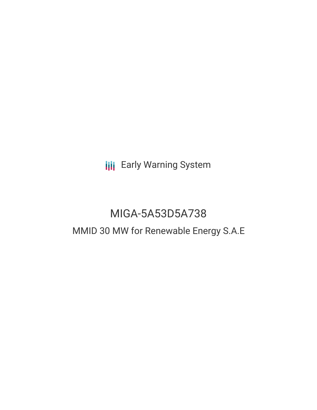**III** Early Warning System

# MIGA-5A53D5A738

## MMID 30 MW for Renewable Energy S.A.E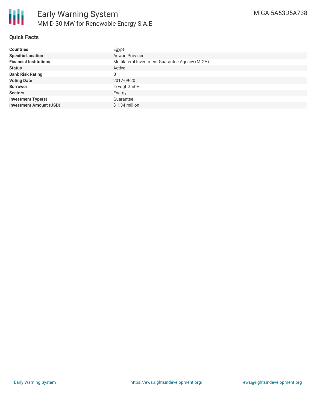### **Quick Facts**

| <b>Countries</b>               | Egypt                                           |
|--------------------------------|-------------------------------------------------|
| <b>Specific Location</b>       | <b>Aswan Province</b>                           |
| <b>Financial Institutions</b>  | Multilateral Investment Guarantee Agency (MIGA) |
| <b>Status</b>                  | Active                                          |
| <b>Bank Risk Rating</b>        | B                                               |
| <b>Voting Date</b>             | 2017-09-20                                      |
| <b>Borrower</b>                | ib vogt GmbH                                    |
| <b>Sectors</b>                 | Energy                                          |
| <b>Investment Type(s)</b>      | Guarantee                                       |
| <b>Investment Amount (USD)</b> | $$1.34$ million                                 |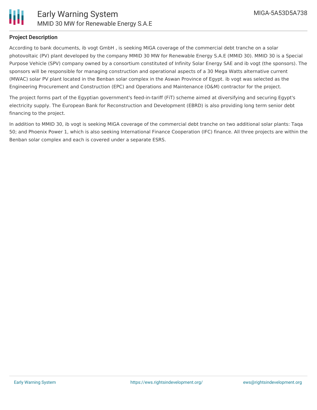

### **Project Description**

According to bank documents, ib vogt GmbH , is seeking MIGA coverage of the commercial debt tranche on a solar photovoltaic (PV) plant developed by the company MMID 30 MW for Renewable Energy S.A.E (MMID 30). MMID 30 is a Special Purpose Vehicle (SPV) company owned by a consortium constituted of Infinity Solar Energy SAE and ib vogt (the sponsors). The sponsors will be responsible for managing construction and operational aspects of a 30 Mega Watts alternative current (MWAC) solar PV plant located in the Benban solar complex in the Aswan Province of Egypt. ib vogt was selected as the Engineering Procurement and Construction (EPC) and Operations and Maintenance (O&M) contractor for the project.

The project forms part of the Egyptian government's feed-in-tariff (FiT) scheme aimed at diversifying and securing Egypt's electricity supply. The European Bank for Reconstruction and Development (EBRD) is also providing long term senior debt financing to the project.

In addition to MMID 30, ib vogt is seeking MIGA coverage of the commercial debt tranche on two additional solar plants: Taqa 50; and Phoenix Power 1, which is also seeking International Finance Cooperation (IFC) finance. All three projects are within the Benban solar complex and each is covered under a separate ESRS.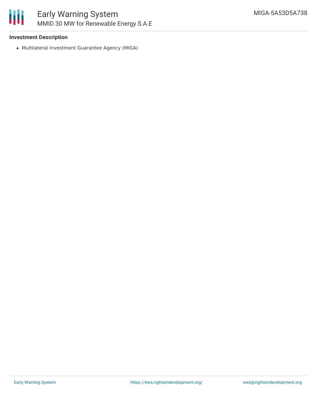

### **Investment Description**

Multilateral Investment Guarantee Agency (MIGA)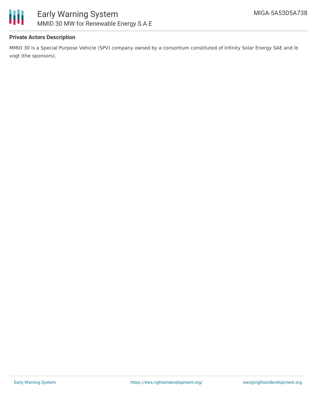

### **Private Actors Description**

MMID 30 is a Special Purpose Vehicle (SPV) company owned by a consortium constituted of Infinity Solar Energy SAE and ib vogt (the sponsors).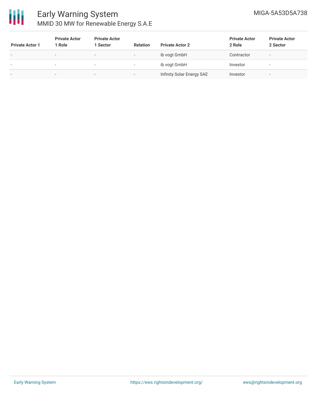

### Early Warning System MMID 30 MW for Renewable Energy S.A.E

| <b>Private Actor 1</b> | <b>Private Actor</b><br>1 Role | <b>Private Actor</b><br>1 Sector | <b>Relation</b>          | <b>Private Actor 2</b>    | <b>Private Actor</b><br>2 Role | <b>Private Actor</b><br>2 Sector |
|------------------------|--------------------------------|----------------------------------|--------------------------|---------------------------|--------------------------------|----------------------------------|
|                        | $\overline{\phantom{0}}$       | $\overline{\phantom{a}}$         | $\overline{\phantom{a}}$ | ib vogt GmbH              | Contractor                     | -                                |
| $\sim$                 | . .                            | $\overline{\phantom{a}}$         |                          | ib vogt GmbH              | Investor                       | $\overline{\phantom{a}}$         |
| $\,$                   | $\sim$                         | $\overline{\phantom{a}}$         | $\overline{\phantom{a}}$ | Infinity Solar Energy SAE | Investor                       | $\overline{\phantom{a}}$         |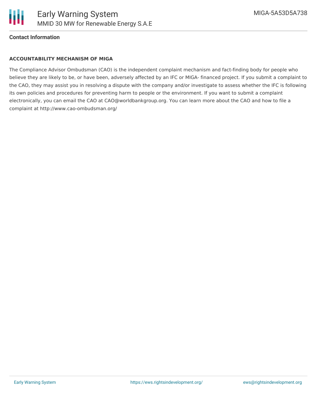

### **Contact Information**

### **ACCOUNTABILITY MECHANISM OF MIGA**

The Compliance Advisor Ombudsman (CAO) is the independent complaint mechanism and fact-finding body for people who believe they are likely to be, or have been, adversely affected by an IFC or MIGA- financed project. If you submit a complaint to the CAO, they may assist you in resolving a dispute with the company and/or investigate to assess whether the IFC is following its own policies and procedures for preventing harm to people or the environment. If you want to submit a complaint electronically, you can email the CAO at CAO@worldbankgroup.org. You can learn more about the CAO and how to file a complaint at http://www.cao-ombudsman.org/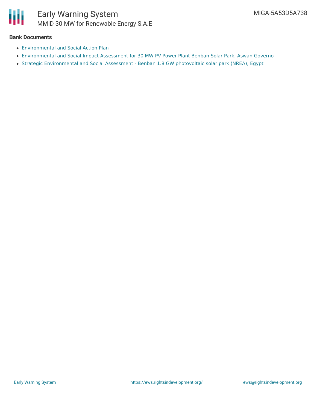

### **Bank Documents**

- [Environmental](https://www.miga.org/Documents/SPGDisclosures/MMID 30_Egypt FiT 2  IB Vogt ESAP_10082017-Clean.pdf) and Social Action Plan
- [Environmental](https://www.miga.org/Documents/SPGDisclosures/MMID 30 Benban -ESIA Final Report.pdf) and Social Impact Assessment for 30 MW PV Power Plant Benban Solar Park, Aswan Governo
- Strategic [Environmental](https://www.miga.org/Documents/SPGDisclosures/Benban Strategic Environmental and Social Assessment- Feb2016  Final Report.pdf) and Social Assessment Benban 1.8 GW photovoltaic solar park (NREA), Egypt